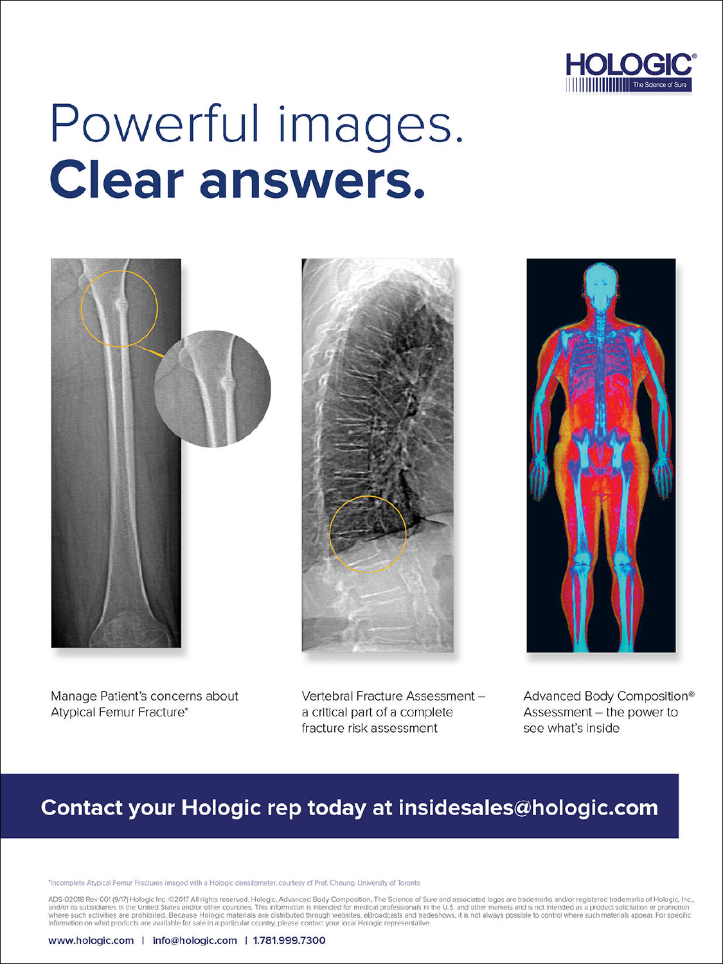

# Powerful images. **Clear answers.**







Manage Patient's concerns about Atypical Femur Fracture\*

Vertebral Fracture Assessment a critical part of a complete fracture risk assessment

Advanced Body Composition® Assessment - the power to see what's inside

# Contact your Hologic rep today at insidesales@hologic.com

\*Incomplete Atypical Femur Fractures imaged with a Hologic densitometer, courtesy of Prof, Cheung, University of Toronto

ADS-02018 Rev 001 (9/17) Hologic Inc. ©2017 All rights reserved. Hologic, Advanced Body Composition, The Science of Sure and associated logos are trademarks and/or registered trademarks of Hologic, Inc., and other marked i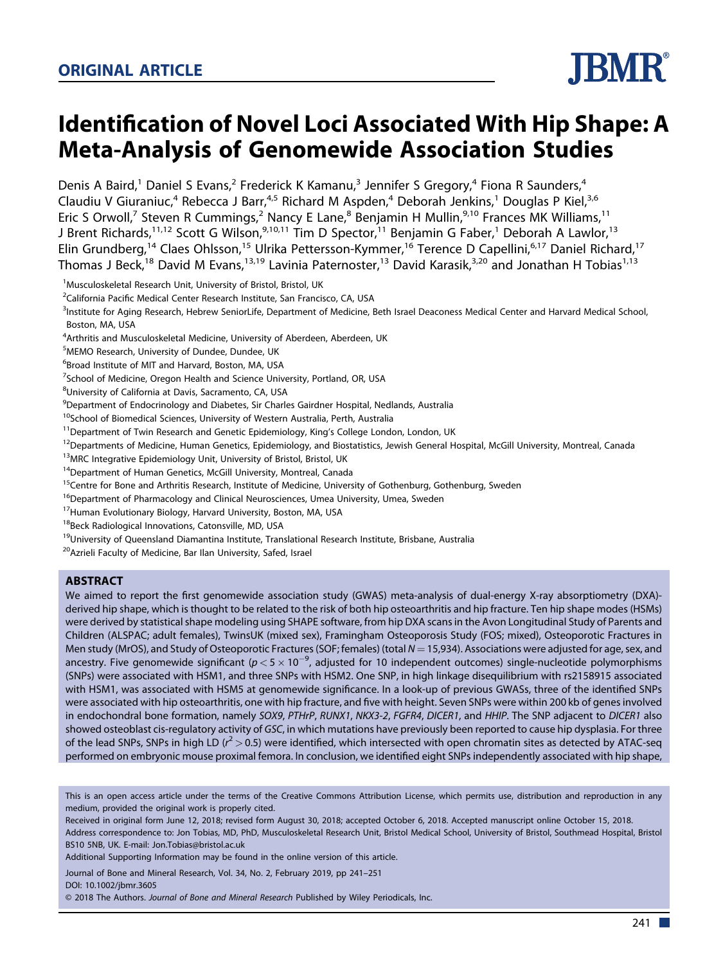# Identification of Novel Loci Associated With Hip Shape: A Meta-Analysis of Genomewide Association Studies

Denis A Baird,<sup>1</sup> Daniel S Evans,<sup>2</sup> Frederick K Kamanu,<sup>3</sup> Jennifer S Gregory,<sup>4</sup> Fiona R Saunders,<sup>4</sup> Claudiu V Giuraniuc,<sup>4</sup> Rebecca J Barr,<sup>4,5</sup> Richard M Aspden,<sup>4</sup> Deborah Jenkins,<sup>1</sup> Douglas P Kiel,<sup>3,6</sup> Eric S Orwoll,<sup>7</sup> Steven R Cummings,<sup>2</sup> Nancy E Lane,<sup>8</sup> Benjamin H Mullin,<sup>9,10</sup> Frances MK Williams,<sup>11</sup> J Brent Richards,<sup>11,12</sup> Scott G Wilson,<sup>9,10,11</sup> Tim D Spector,<sup>11</sup> Benjamin G Faber,<sup>1</sup> Deborah A Lawlor,<sup>13</sup> Elin Grundberg,<sup>14</sup> Claes Ohlsson,<sup>15</sup> Ulrika Pettersson-Kymmer,<sup>16</sup> Terence D Capellini,<sup>6,17</sup> Daniel Richard,<sup>17</sup> Thomas J Beck,<sup>18</sup> David M Evans,<sup>13,19</sup> Lavinia Paternoster,<sup>13</sup> David Karasik,<sup>3,20</sup> and Jonathan H Tobias<sup>1,13</sup>

<sup>1</sup>Musculoskeletal Research Unit, University of Bristol, Bristol, UK

<sup>2</sup>California Pacific Medical Center Research Institute, San Francisco, CA, USA

<sup>3</sup>Institute for Aging Research, Hebrew SeniorLife, Department of Medicine, Beth Israel Deaconess Medical Center and Harvard Medical School, Boston, MA, USA

<sup>4</sup> Arthritis and Musculoskeletal Medicine, University of Aberdeen, Aberdeen, UK

<sup>5</sup>MEMO Research, University of Dundee, Dundee, UK

6 Broad Institute of MIT and Harvard, Boston, MA, USA

<sup>7</sup>School of Medicine, Oregon Health and Science University, Portland, OR, USA

<sup>8</sup>University of California at Davis, Sacramento, CA, USA

<sup>9</sup>Department of Endocrinology and Diabetes, Sir Charles Gairdner Hospital, Nedlands, Australia

<sup>10</sup>School of Biomedical Sciences, University of Western Australia, Perth, Australia

<sup>11</sup>Department of Twin Research and Genetic Epidemiology, King's College London, London, UK

<sup>12</sup>Departments of Medicine, Human Genetics, Epidemiology, and Biostatistics, Jewish General Hospital, McGill University, Montreal, Canada

<sup>13</sup>MRC Integrative Epidemiology Unit, University of Bristol, Bristol, UK

<sup>14</sup>Department of Human Genetics, McGill University, Montreal, Canada

<sup>15</sup>Centre for Bone and Arthritis Research, Institute of Medicine, University of Gothenburg, Gothenburg, Sweden

<sup>16</sup>Department of Pharmacology and Clinical Neurosciences, Umea University, Umea, Sweden

<sup>17</sup> Human Evolutionary Biology, Harvard University, Boston, MA, USA

<sup>18</sup>Beck Radiological Innovations, Catonsville, MD, USA

<sup>19</sup>University of Queensland Diamantina Institute, Translational Research Institute, Brisbane, Australia

<sup>20</sup> Azrieli Faculty of Medicine, Bar Ilan University, Safed, Israel

#### **ABSTRACT**

We aimed to report the first genomewide association study (GWAS) meta-analysis of dual-energy X-ray absorptiometry (DXA) derived hip shape, which is thought to be related to the risk of both hip osteoarthritis and hip fracture. Ten hip shape modes (HSMs) were derived by statistical shape modeling using SHAPE software, from hip DXA scans in the Avon Longitudinal Study of Parents and Children (ALSPAC; adult females), TwinsUK (mixed sex), Framingham Osteoporosis Study (FOS; mixed), Osteoporotic Fractures in Men study (MrOS), and Study of Osteoporotic Fractures (SOF; females) (total  $N = 15,934$ ). Associations were adjusted for age, sex, and ancestry. Five genomewide significant ( $p < 5 \times 10^{-9}$ , adjusted for 10 independent outcomes) single-nucleotide polymorphisms (SNPs) were associated with HSM1, and three SNPs with HSM2. One SNP, in high linkage disequilibrium with rs2158915 associated with HSM1, was associated with HSM5 at genomewide significance. In a look-up of previous GWASs, three of the identified SNPs were associated with hip osteoarthritis, one with hip fracture, and five with height. Seven SNPs were within 200 kb of genes involved in endochondral bone formation, namely SOX9, PTHrP, RUNX1, NKX3-2, FGFR4, DICER1, and HHIP. The SNP adjacent to DICER1 also showed osteoblast cis-regulatory activity of GSC, in which mutations have previously been reported to cause hip dysplasia. For three of the lead SNPs, SNPs in high LD ( $r^2$  > 0.5) were identified, which intersected with open chromatin sites as detected by ATAC-seq performed on embryonic mouse proximal femora. In conclusion, we identified eight SNPs independently associated with hip shape,

Additional Supporting Information may be found in the online version of this article.

Journal of Bone and Mineral Research, Vol. 34, No. 2, February 2019, pp 241–251 DOI: 10.1002/jbmr.3605

© 2018 The Authors. Journal of Bone and Mineral Research Published by Wiley Periodicals, Inc.



This is an open access article under the terms of the [Creative Commons Attribution](http://creativecommons.org/licenses/by/4.0/) License, which permits use, distribution and reproduction in any medium, provided the original work is properly cited.

Received in original form June 12, 2018; revised form August 30, 2018; accepted October 6, 2018. Accepted manuscript online October 15, 2018. Address correspondence to: Jon Tobias, MD, PhD, Musculoskeletal Research Unit, Bristol Medical School, University of Bristol, Southmead Hospital, Bristol BS10 5NB, UK. E-mail: Jon.Tobias@bristol.ac.uk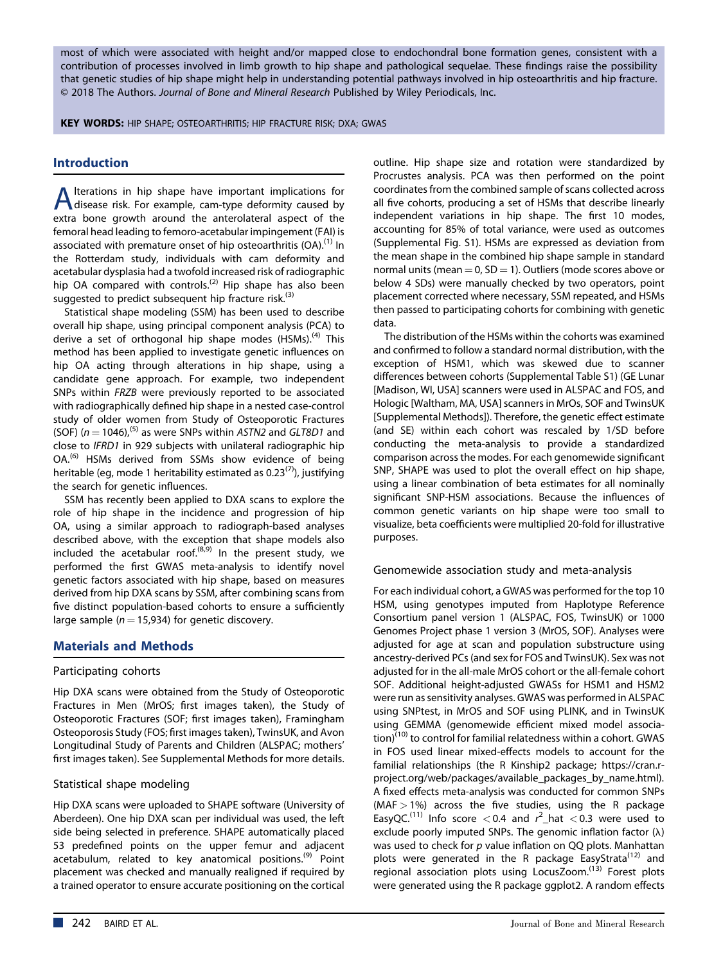most of which were associated with height and/or mapped close to endochondral bone formation genes, consistent with a contribution of processes involved in limb growth to hip shape and pathological sequelae. These findings raise the possibility that genetic studies of hip shape might help in understanding potential pathways involved in hip osteoarthritis and hip fracture. © 2018 The Authors. Journal of Bone and Mineral Research Published by Wiley Periodicals, Inc.

KEY WORDS: HIP SHAPE; OSTEOARTHRITIS; HIP FRACTURE RISK; DXA; GWAS

# **Introduction**

A lterations in hip shape have important implications for<br>disease risk. For example, cam-type deformity caused by<br>the setting and the categorian control theory lterations in hip shape have important implications for extra bone growth around the anterolateral aspect of the femoral head leading to femoro-acetabular impingement (FAI) is associated with premature onset of hip osteoarthritis (OA).<sup>(1)</sup> In the Rotterdam study, individuals with cam deformity and acetabular dysplasia had a twofold increased risk of radiographic hip OA compared with controls.<sup>(2)</sup> Hip shape has also been suggested to predict subsequent hip fracture risk. $(3)$ 

Statistical shape modeling (SSM) has been used to describe overall hip shape, using principal component analysis (PCA) to derive a set of orthogonal hip shape modes  $(HSMs)$ .<sup>(4)</sup> This method has been applied to investigate genetic influences on hip OA acting through alterations in hip shape, using a candidate gene approach. For example, two independent SNPs within FRZB were previously reported to be associated with radiographically defined hip shape in a nested case-control study of older women from Study of Osteoporotic Fractures (SOF) ( $n = 1046$ ),<sup>(5)</sup> as were SNPs within ASTN2 and GLT8D1 and close to IFRD1 in 929 subjects with unilateral radiographic hip OA.<sup>(6)</sup> HSMs derived from SSMs show evidence of being heritable (eg, mode 1 heritability estimated as  $0.23^{(7)}$ ), justifying the search for genetic influences.

SSM has recently been applied to DXA scans to explore the role of hip shape in the incidence and progression of hip OA, using a similar approach to radiograph-based analyses described above, with the exception that shape models also included the acetabular roof. $(8,9)$  In the present study, we performed the first GWAS meta-analysis to identify novel genetic factors associated with hip shape, based on measures derived from hip DXA scans by SSM, after combining scans from five distinct population-based cohorts to ensure a sufficiently large sample ( $n = 15,934$ ) for genetic discovery.

# Materials and Methods

#### Participating cohorts

Hip DXA scans were obtained from the Study of Osteoporotic Fractures in Men (MrOS; first images taken), the Study of Osteoporotic Fractures (SOF; first images taken), Framingham Osteoporosis Study (FOS; first images taken), TwinsUK, and Avon Longitudinal Study of Parents and Children (ALSPAC; mothers' first images taken). See Supplemental Methods for more details.

# Statistical shape modeling

Hip DXA scans were uploaded to SHAPE software (University of Aberdeen). One hip DXA scan per individual was used, the left side being selected in preference. SHAPE automatically placed 53 predefined points on the upper femur and adjacent acetabulum, related to key anatomical positions.<sup>(9)</sup> Point placement was checked and manually realigned if required by a trained operator to ensure accurate positioning on the cortical

outline. Hip shape size and rotation were standardized by Procrustes analysis. PCA was then performed on the point coordinates from the combined sample of scans collected across all five cohorts, producing a set of HSMs that describe linearly independent variations in hip shape. The first 10 modes, accounting for 85% of total variance, were used as outcomes (Supplemental Fig. S1). HSMs are expressed as deviation from the mean shape in the combined hip shape sample in standard normal units (mean  $= 0$ , SD  $= 1$ ). Outliers (mode scores above or below 4 SDs) were manually checked by two operators, point placement corrected where necessary, SSM repeated, and HSMs then passed to participating cohorts for combining with genetic data.

The distribution of the HSMs within the cohorts was examined and confirmed to follow a standard normal distribution, with the exception of HSM1, which was skewed due to scanner differences between cohorts (Supplemental Table S1) (GE Lunar [Madison, WI, USA] scanners were used in ALSPAC and FOS, and Hologic [Waltham, MA, USA] scanners in MrOs, SOF and TwinsUK [Supplemental Methods]). Therefore, the genetic effect estimate (and SE) within each cohort was rescaled by 1/SD before conducting the meta-analysis to provide a standardized comparison across the modes. For each genomewide significant SNP, SHAPE was used to plot the overall effect on hip shape, using a linear combination of beta estimates for all nominally significant SNP-HSM associations. Because the influences of common genetic variants on hip shape were too small to visualize, beta coefficients were multiplied 20-fold for illustrative purposes.

# Genomewide association study and meta-analysis

For each individual cohort, a GWAS was performed for the top 10 HSM, using genotypes imputed from Haplotype Reference Consortium panel version 1 (ALSPAC, FOS, TwinsUK) or 1000 Genomes Project phase 1 version 3 (MrOS, SOF). Analyses were adjusted for age at scan and population substructure using ancestry-derived PCs (and sex for FOS and TwinsUK). Sex was not adjusted for in the all-male MrOS cohort or the all-female cohort SOF. Additional height-adjusted GWASs for HSM1 and HSM2 were run as sensitivity analyses. GWAS was performed in ALSPAC using SNPtest, in MrOS and SOF using PLINK, and in TwinsUK using GEMMA (genomewide efficient mixed model associa- $\overline{f(10)}$  to control for familial relatedness within a cohort. GWAS in FOS used linear mixed-effects models to account for the familial relationships (the R Kinship2 package; [https://cran.r](https://cran.r-project.org/web/packages/available_packages_by_name.html)[project.org/web/packages/available\\_packages\\_by\\_name.html](https://cran.r-project.org/web/packages/available_packages_by_name.html)). A fixed effects meta-analysis was conducted for common SNPs  $(MAF > 1%)$  across the five studies, using the R package EasyQC.<sup>(11)</sup> Info score  $<$  0.4 and  $r^2$ \_hat  $<$  0.3 were used to exclude poorly imputed SNPs. The genomic inflation factor  $(\lambda)$ was used to check for p value inflation on QQ plots. Manhattan plots were generated in the R package EasyStrata<sup>(12)</sup> and regional association plots using LocusZoom.<sup>(13)</sup> Forest plots were generated using the R package ggplot2. A random effects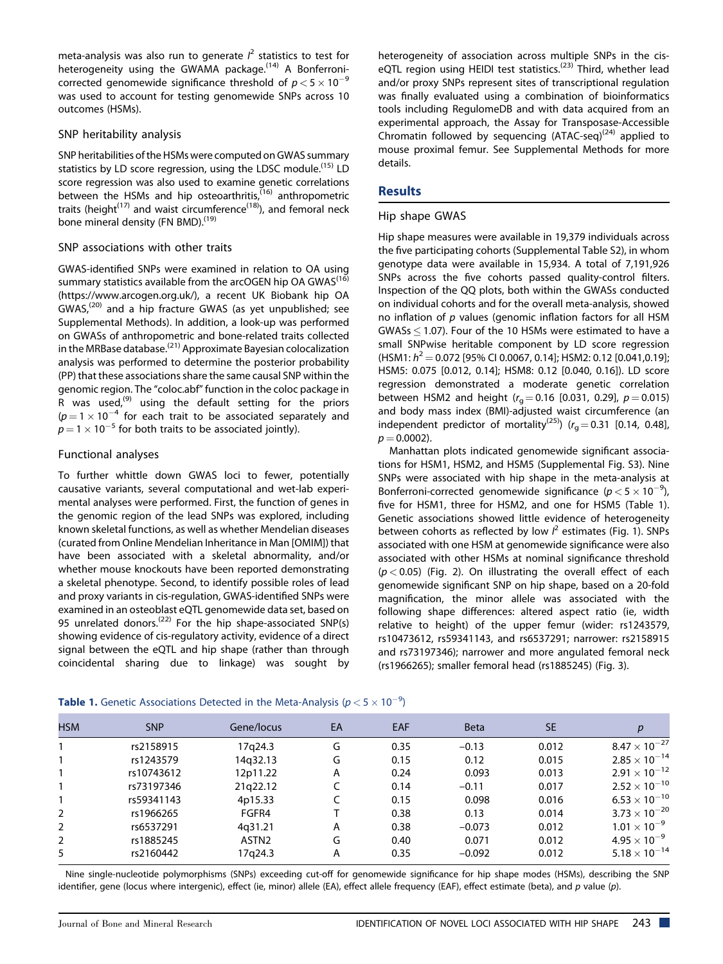meta-analysis was also run to generate  $l^2$  statistics to test for heterogeneity using the GWAMA package.<sup>(14)</sup> A Bonferronicorrected genomewide significance threshold of  $p < 5 \times 10^{-9}$ was used to account for testing genomewide SNPs across 10 outcomes (HSMs).

#### SNP heritability analysis

SNP heritabilities of the HSMs were computed on GWAS summary statistics by LD score regression, using the LDSC module.<sup>(15)</sup> LD score regression was also used to examine genetic correlations between the HSMs and hip osteoarthritis, $(16)$  anthropometric traits (height $(17)$  and waist circumference $(18)$ ), and femoral neck bone mineral density (FN BMD).<sup>(19)</sup>

# SNP associations with other traits

GWAS-identified SNPs were examined in relation to OA using summary statistics available from the arcOGEN hip OA GWAS<sup>(16)</sup> [\(https://www.arcogen.org.uk/](https://www.arcogen.org.uk/)), a recent UK Biobank hip OA  $GWAS<sub>1</sub><sup>(20)</sup>$  and a hip fracture GWAS (as yet unpublished; see Supplemental Methods). In addition, a look-up was performed on GWASs of anthropometric and bone-related traits collected in the MRBase database.<sup>(21)</sup> Approximate Bayesian colocalization analysis was performed to determine the posterior probability (PP) that these associations share the same causal SNP within the genomic region. The "coloc.abf" function in the coloc package in R was used,<sup>(9)</sup> using the default setting for the priors  $(p=1\times10^{-4}$  for each trait to be associated separately and  $p = 1 \times 10^{-5}$  for both traits to be associated jointly).

# Functional analyses

To further whittle down GWAS loci to fewer, potentially causative variants, several computational and wet-lab experimental analyses were performed. First, the function of genes in the genomic region of the lead SNPs was explored, including known skeletal functions, as well as whether Mendelian diseases (curated from Online Mendelian Inheritance in Man [OMIM]) that have been associated with a skeletal abnormality, and/or whether mouse knockouts have been reported demonstrating a skeletal phenotype. Second, to identify possible roles of lead and proxy variants in cis-regulation, GWAS-identified SNPs were examined in an osteoblast eQTL genomewide data set, based on 95 unrelated donors.<sup>(22)</sup> For the hip shape-associated SNP(s) showing evidence of cis-regulatory activity, evidence of a direct signal between the eQTL and hip shape (rather than through coincidental sharing due to linkage) was sought by

**Table 1.** Genetic Associations Detected in the Meta-Analysis ( $p < 5 \times 10^{-9}$ )

heterogeneity of association across multiple SNPs in the ciseQTL region using HEIDI test statistics.<sup>(23)</sup> Third, whether lead and/or proxy SNPs represent sites of transcriptional regulation was finally evaluated using a combination of bioinformatics tools including RegulomeDB and with data acquired from an experimental approach, the Assay for Transposase-Accessible Chromatin followed by sequencing  $(ATAC-seq)^{(24)}$  applied to mouse proximal femur. See Supplemental Methods for more details.

# **Results**

#### Hip shape GWAS

Hip shape measures were available in 19,379 individuals across the five participating cohorts (Supplemental Table S2), in whom genotype data were available in 15,934. A total of 7,191,926 SNPs across the five cohorts passed quality-control filters. Inspection of the QQ plots, both within the GWASs conducted on individual cohorts and for the overall meta-analysis, showed no inflation of  $p$  values (genomic inflation factors for all HSM  $GWASs < 1.07$ ). Four of the 10 HSMs were estimated to have a small SNPwise heritable component by LD score regression  $(HSM1: h^2 = 0.072$  [95% CI 0.0067, 0.14]; HSM2: 0.12 [0.041,0.19]; HSM5: 0.075 [0.012, 0.14]; HSM8: 0.12 [0.040, 0.16]). LD score regression demonstrated a moderate genetic correlation between HSM2 and height ( $r<sub>q</sub> = 0.16$  [0.031, 0.29],  $p = 0.015$ ) and body mass index (BMI)-adjusted waist circumference (an independent predictor of mortality<sup>(25)</sup>) ( $r<sub>g</sub> = 0.31$  [0.14, 0.48],  $p = 0.0002$ ).

Manhattan plots indicated genomewide significant associations for HSM1, HSM2, and HSM5 (Supplemental Fig. S3). Nine SNPs were associated with hip shape in the meta-analysis at Bonferroni-corrected genomewide significance ( $p < 5 \times 10^{-9}$ ), five for HSM1, three for HSM2, and one for HSM5 (Table 1). Genetic associations showed little evidence of heterogeneity between cohorts as reflected by low  $l^2$  estimates (Fig. 1). SNPs associated with one HSM at genomewide significance were also associated with other HSMs at nominal significance threshold  $(p < 0.05)$  (Fig. 2). On illustrating the overall effect of each genomewide significant SNP on hip shape, based on a 20-fold magnification, the minor allele was associated with the following shape differences: altered aspect ratio (ie, width relative to height) of the upper femur (wider: rs1243579, rs10473612, rs59341143, and rs6537291; narrower: rs2158915 and rs73197346); narrower and more angulated femoral neck (rs1966265); smaller femoral head (rs1885245) (Fig. 3).

| <b>HSM</b>     | <b>SNP</b> | Gene/locus        | EA | <b>EAF</b> | <b>Beta</b> | <b>SE</b> |                        |
|----------------|------------|-------------------|----|------------|-------------|-----------|------------------------|
|                | rs2158915  | 17q24.3           | G  | 0.35       | $-0.13$     | 0.012     | $8.47\times10^{-27}$   |
|                | rs1243579  | 14q32.13          | G  | 0.15       | 0.12        | 0.015     | $2.85\times10^{-14}$   |
|                | rs10743612 | 12p11.22          | A  | 0.24       | 0.093       | 0.013     | $2.91 \times 10^{-12}$ |
|                | rs73197346 | 21g22.12          |    | 0.14       | $-0.11$     | 0.017     | $2.52 \times 10^{-10}$ |
|                | rs59341143 | 4p15.33           |    | 0.15       | 0.098       | 0.016     | $6.53\times10^{-10}$   |
| 2              | rs1966265  | FGFR4             |    | 0.38       | 0.13        | 0.014     | $3.73 \times 10^{-20}$ |
| 2              | rs6537291  | 4g31.21           | Α  | 0.38       | $-0.073$    | 0.012     | $1.01\times10^{-9}$    |
| $\overline{2}$ | rs1885245  | ASTN <sub>2</sub> | G  | 0.40       | 0.071       | 0.012     | $4.95\times10^{-9}$    |
| 5              | rs2160442  | 17q24.3           | Α  | 0.35       | $-0.092$    | 0.012     | $5.18 \times 10^{-14}$ |

Nine single-nucleotide polymorphisms (SNPs) exceeding cut-off for genomewide significance for hip shape modes (HSMs), describing the SNP identifier, gene (locus where intergenic), effect (ie, minor) allele (EA), effect allele frequency (EAF), effect estimate (beta), and p value (p).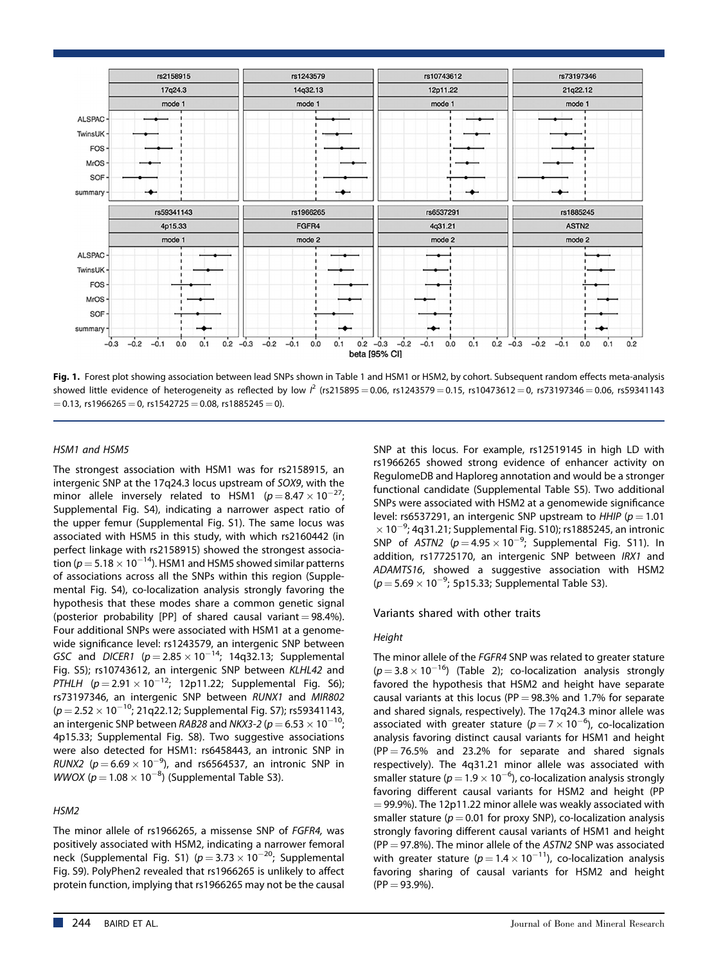

Fig. 1. Forest plot showing association between lead SNPs shown in Table 1 and HSM1 or HSM2, by cohort. Subsequent random effects meta-analysis showed little evidence of heterogeneity as reflected by low  $l^2$  (rs215895 = 0.06, rs1243579 = 0.15, rs10473612 = 0, rs73197346 = 0.06, rs59341143  $= 0.13$ , rs1966265  $= 0$ , rs1542725  $= 0.08$ , rs1885245  $= 0$ ).

#### HSM1 and HSM5

The strongest association with HSM1 was for rs2158915, an intergenic SNP at the 17q24.3 locus upstream of SOX9, with the minor allele inversely related to HSM1 ( $p = 8.47 \times 10^{-27}$ ; Supplemental Fig. S4), indicating a narrower aspect ratio of the upper femur (Supplemental Fig. S1). The same locus was associated with HSM5 in this study, with which rs2160442 (in perfect linkage with rs2158915) showed the strongest association ( $p = 5.18 \times 10^{-14}$ ). HSM1 and HSM5 showed similar patterns of associations across all the SNPs within this region (Supplemental Fig. S4), co-localization analysis strongly favoring the hypothesis that these modes share a common genetic signal (posterior probability [PP] of shared causal variant  $= 98.4\%$ ). Four additional SNPs were associated with HSM1 at a genomewide significance level: rs1243579, an intergenic SNP between GSC and DICER1 ( $p = 2.85 \times 10^{-14}$ ; 14q32.13; Supplemental Fig. S5); rs10743612, an intergenic SNP between KLHL42 and  $\overline{PT}$ HLH (p = 2.91  $\times$  10<sup>-12</sup>; 12p11.22; Supplemental Fig. S6); rs73197346, an intergenic SNP between RUNX1 and MIR802  $(p = 2.52 \times 10^{-10}; 21q22.12;$  Supplemental Fig. S7); rs59341143, an intergenic SNP between RAB28 and NKX3-2 ( $p = 6.53 \times 10^{-10}$ ; 4p15.33; Supplemental Fig. S8). Two suggestive associations were also detected for HSM1: rs6458443, an intronic SNP in RUNX2 ( $p = 6.69 \times 10^{-9}$ ), and rs6564537, an intronic SNP in WWOX  $(p = 1.08 \times 10^{-8})$  (Supplemental Table S3).

#### HSM2

The minor allele of rs1966265, a missense SNP of FGFR4, was positively associated with HSM2, indicating a narrower femoral neck (Supplemental Fig. S1) ( $p = 3.73 \times 10^{-20}$ ; Supplemental Fig. S9). PolyPhen2 revealed that rs1966265 is unlikely to affect protein function, implying that rs1966265 may not be the causal

SNP at this locus. For example, rs12519145 in high LD with rs1966265 showed strong evidence of enhancer activity on RegulomeDB and Haploreg annotation and would be a stronger functional candidate (Supplemental Table S5). Two additional SNPs were associated with HSM2 at a genomewide significance level: rs6537291, an intergenic SNP upstream to  $HHIP$  ( $p = 1.01$  $\times$  10<sup>-9</sup>; 4q31.21; Supplemental Fig. S10); rs1885245, an intronic SNP of  $ASTN2$  ( $p=4.95\times10^{-9}$ ; Supplemental Fig. S11). In addition, rs17725170, an intergenic SNP between IRX1 and ADAMTS16, showed a suggestive association with HSM2  $(p=5.69\times10^{-9};$  5p15.33; Supplemental Table S3).

#### Variants shared with other traits

#### Height

The minor allele of the FGFR4 SNP was related to greater stature  $(p=3.8\times10^{-16})$  (Table 2); co-localization analysis strongly favored the hypothesis that HSM2 and height have separate causal variants at this locus (PP =  $98.3\%$  and 1.7% for separate and shared signals, respectively). The 17q24.3 minor allele was associated with greater stature ( $p = 7 \times 10^{-6}$ ), co-localization analysis favoring distinct causal variants for HSM1 and height  $(PP = 76.5\%$  and 23.2% for separate and shared signals respectively). The 4q31.21 minor allele was associated with smaller stature ( $p = 1.9 \times 10^{-6}$ ), co-localization analysis strongly favoring different causal variants for HSM2 and height (PP  $=$  99.9%). The 12p11.22 minor allele was weakly associated with smaller stature ( $p = 0.01$  for proxy SNP), co-localization analysis strongly favoring different causal variants of HSM1 and height  $(PP = 97.8\%)$ . The minor allele of the ASTN2 SNP was associated with greater stature ( $p$   $=$  1.4  $\times$  10 $^{-11}$ ), co-localization analysis favoring sharing of causal variants for HSM2 and height  $(PP = 93.9\%).$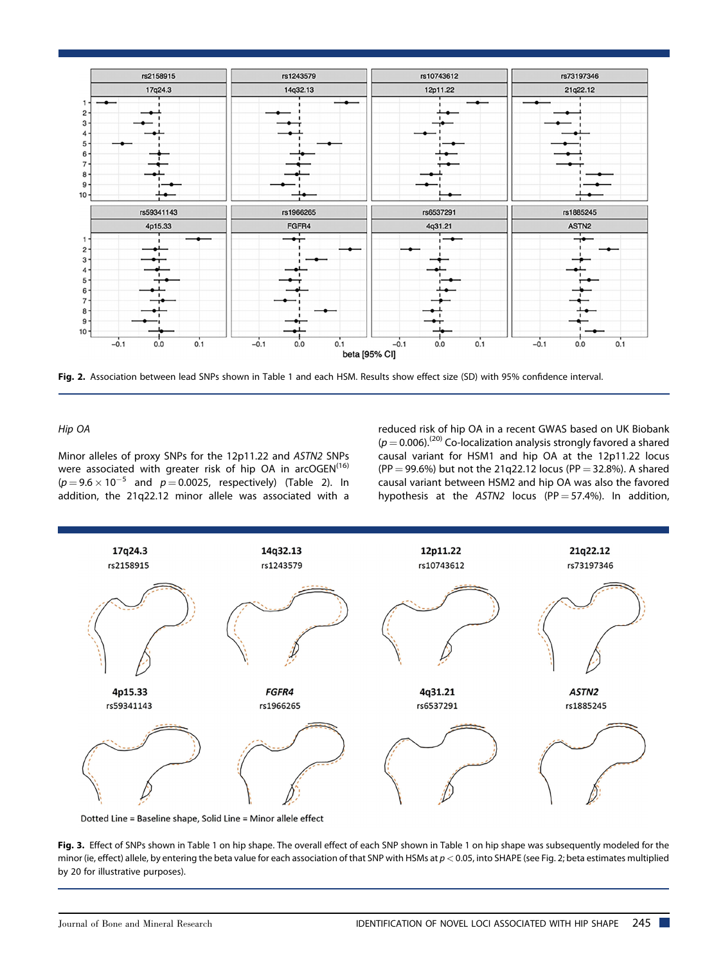

Fig. 2. Association between lead SNPs shown in Table 1 and each HSM. Results show effect size (SD) with 95% confidence interval.

#### Hip OA

Minor alleles of proxy SNPs for the 12p11.22 and ASTN2 SNPs were associated with greater risk of hip OA in arcOGEN<sup>(16)</sup>  $(p=9.6\times10^{-5}$  and  $p=0.0025$ , respectively) (Table 2). In addition, the 21q22.12 minor allele was associated with a

reduced risk of hip OA in a recent GWAS based on UK Biobank  $(p = 0.006)$ .<sup>(20)</sup> Co-localization analysis strongly favored a shared causal variant for HSM1 and hip OA at the 12p11.22 locus (PP = 99.6%) but not the 21q22.12 locus (PP = 32.8%). A shared causal variant between HSM2 and hip OA was also the favored hypothesis at the ASTN2 locus (PP = 57.4%). In addition,



Fig. 3. Effect of SNPs shown in Table 1 on hip shape. The overall effect of each SNP shown in Table 1 on hip shape was subsequently modeled for the minor (ie, effect) allele, by entering the beta value for each association of that SNP with HSMs at  $p < 0.05$ , into SHAPE (see Fig. 2; beta estimates multiplied by 20 for illustrative purposes).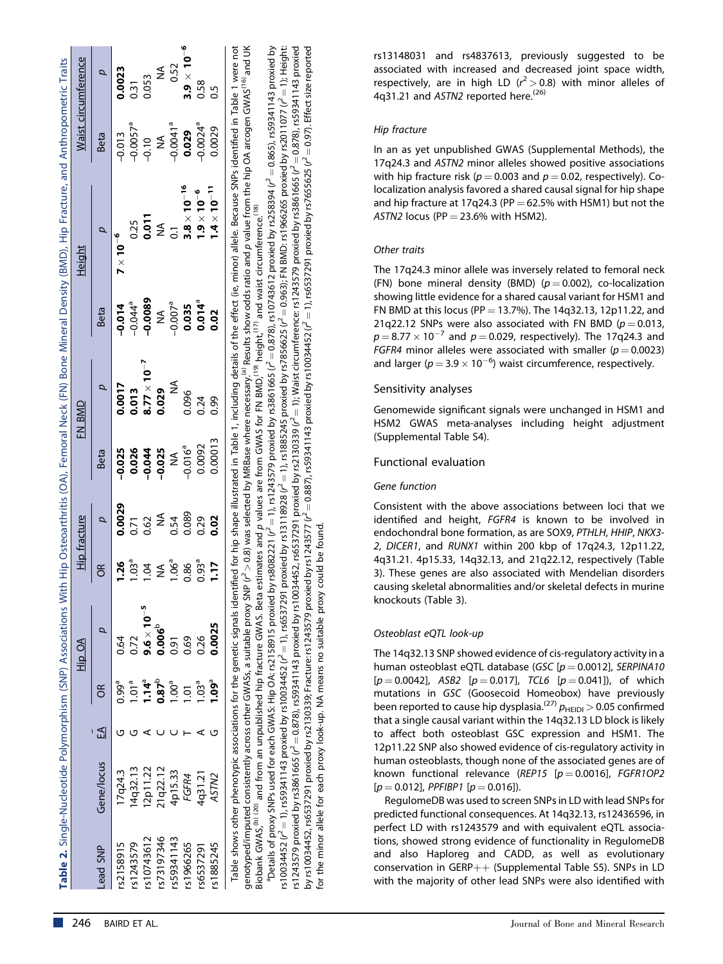|                 |                              |    |                   | Hip OA                                     |                                | <b>Hip fracture</b> |                                               | FN BMD                                                               |                                                                                                                | Height                |                                         | Waist circumference  |
|-----------------|------------------------------|----|-------------------|--------------------------------------------|--------------------------------|---------------------|-----------------------------------------------|----------------------------------------------------------------------|----------------------------------------------------------------------------------------------------------------|-----------------------|-----------------------------------------|----------------------|
| <b>ANS pear</b> | Gene/locus                   | EA | g                 |                                            | õ                              |                     | Beta                                          |                                                                      | Beta                                                                                                           |                       | Beta                                    |                      |
| \$2158915       | 7q24.3                       |    | $0.99^a$          | 0.64                                       | 1.26                           | 0.0029              | $-0.025$                                      | 0.0017                                                               |                                                                                                                | $7 \times 10^{-6}$    | $-0.013$                                | 0.0023               |
| \$1243579       | 4q32.13                      |    | 1.01 <sup>a</sup> | .72                                        | 1.03 <sup>a</sup>              |                     |                                               |                                                                      | $\begin{array}{@{}c@{\hspace{1em}}c@{\hspace{1em}}}\n 0.014 \\ -0.044^\circ \\ \hline\n -0.0089\n \end{array}$ |                       | $-0.0057$ <sup>a</sup><br>$-0.10$<br>MA | 0.31<br>0.053        |
| \$10743612      | 2p11.22                      |    | $1.14^{a}$        | $9.6 \times 10^{-5}$<br>0.006 <sup>b</sup> |                                | $0.38$ MA           |                                               | $\begin{array}{c} 0.013 \\ 8.77 \times 10^{-7} \\ 0.029 \end{array}$ |                                                                                                                | $0.25$<br>0.011       |                                         |                      |
| \$73197346      |                              |    | $0.87^{b}$        |                                            | <b>NA</b><br>1.06 <sup>ª</sup> |                     |                                               |                                                                      |                                                                                                                | $\widetilde{\Sigma}$  |                                         | ≨                    |
| 559341143       | 21q22.12<br>4p15.33<br>FGFR4 |    | 1.00 <sup>a</sup> | 0.69                                       |                                |                     | 0.026<br>0.044<br>0.025<br>0.016 <sup>3</sup> | ≸                                                                    |                                                                                                                | $\overline{0}$        | $-0.0041$ <sup>a</sup><br>0.029         | 0.52                 |
| rs1966265       |                              |    | 1.01              |                                            | 0.86                           | 0.54<br>0.089       |                                               | 0.096                                                                |                                                                                                                | $3.8 \times 10^{-16}$ |                                         | $3.9 \times 10^{-6}$ |
| \$6537291       | 4q31.21                      |    | 1.03 <sup>a</sup> | 0.26                                       | $0.93^{a}$                     | 0.29                | 0.0092                                        | 0.24                                                                 | NA<br>0.007 <sup>a</sup><br>0.035<br>0.02                                                                      | $1.9\times10^{-6}$    | $-0.0024$ <sup>a</sup>                  | 0.58<br>0.5          |
| s1885245        | ASTN <sub>2</sub>            |    | $1.09^a$          | 0.0025                                     | 1.17                           | 0.02                | 0.00013                                       | 0.99                                                                 |                                                                                                                | $1.4 \times 10^{-11}$ | 0.0029                                  |                      |

Table shows other phenotypic associations for the genetic signals identified for hip shape illustrated in Table 1, including details of the effect (ie, minor) allele. Because SNPs identified in Table 1 were not Table shows other phenotypic associations for the genetic signals identified for hip shape illustrated in Table 1, including details of the effect (ie, minor) allele. Because SNPs identified in Table 1 were not<br>genotyped/i  $^2$  > 0.8) was selected by MRBase where necessary.<sup>(a)</sup> Results show odds ratio and p value from the hip OA arcogen GWAS<sup>(16)</sup> and UK Biobank GWAS,<sup>(b) (20)</sup> and from an unpublished hip fracture GWAS. Beta estimates and p values are from GWAS for FN BMD,<sup>(19)</sup> height,<sup>(17)</sup> and waist circumference.<sup>(18)</sup> Biobank GWAS,<sup>(b) (20)</sup> and from an unpublished hip fracture GWAS. Beta estimates and p values are from GWAS for FN BMD,<sup>(19)</sup> height,<sup>(17)</sup> and waist circumference.<sup>(18)</sup> genotyped/imputed consistently across other GWASs, a suitable proxy SNP (r

 $^3$ Details of proxy SNPs used for each GWAS: Hip OA: rs2158915 proxied by rs8082221 ( $r^2$  = 1), rs1243579 proxied by rs3861665 ( $r^2$  = 0.878), rs10743612 proxied by rs258334 ( $r^2$  = 0.865), rs59341143 proxied by ¼ 0.865), rs59341143 proxied by  $^2$   $=$  1); Height:  $2 = 0.878$ ), rs59341143 proxied  $2 = 0.97$ ). Effect size reported  $2 = 0.963$ ); FN BMD: rs1966265 proxied by rs2011077 (r $\sim$  $\gamma^2 = 1$ ), rs6537291 proxied by rs7655625 ( $r^2$  $2 = 1$ ); Waist circumference: rs1243579 proxied by rs3861665 (r $\delta$  $^{2}$  = 0.878), rs10743612 proxied by rs258394 (r $\frac{1}{2}$  $P^2 = 1$ ), rs1885245 proxied by rs7856625 (r $P^2$  $\sim$  ¼ 0.887), rs59341143 proxied by rs10034452 (r  $^{2}$  = 1), rs1243579 proxied by rs3861665 (r<sup>2</sup>)  $2\pm0.878$ ), rs59341143 proxied by rs10034452, rs6537291 proxied by rs2130339 (r $\pm0.0339$  $2^2 = 1$ ), rs6537291 proxied by rs13118928 (r)  $\scriptstyle\sim$ by rs10034452, rs6537291 proxied by rs2130339; Fracture: rs1243579 proxied by rs1243577 (r for the minor allele for each proxy look-up. NA means no suitable proxy could be found for the minor allele for each proxy look-up. NA means no suitable proxy could be found. aDetails of proxy SNPs used for each GWAS: Hip OA: rs2158915 proxied by rs8082221 (r ¼ 1), rs59341143 proxied by rs10034452 (r rs1243579 proxied by rs3861665 (r ่ rs10034452 (r

rs13148031 and rs4837613, previously suggested to be associated with increased and decreased joint space width, respectively, are in high LD ( $r^2 > 0.8$ ) with minor alleles of 4q31.21 and ASTN2 reported here.<sup>(26)</sup>

# Hip fracture

In an as yet unpublished GWAS (Supplemental Methods), the 17q24.3 and ASTN2 minor alleles showed positive associations with hip fracture risk ( $p = 0.003$  and  $p = 0.02$ , respectively). Colocalization analysis favored a shared causal signal for hip shape and hip fracture at 17q24.3 (PP  $=$  62.5% with HSM1) but not the ASTN2 locus (PP  $=$  23.6% with HSM2).

# Other traits

The 17q24.3 minor allele was inversely related to femoral neck (FN) bone mineral density (BMD) ( $p = 0.002$ ), co-localization showing little evidence for a shared causal variant for HSM1 and FN BMD at this locus (PP = 13.7%). The 14q32.13, 12p11.22, and 21q22.12 SNPs were also associated with FN BMD ( $p = 0.013$ ,  $p = 8.77 \times 10^{-7}$  and  $p = 0.029$ , respectively). The 17q24.3 and FGFR4 minor alleles were associated with smaller ( $p = 0.0023$ ) and larger ( $p = 3.9 \times 10^{-6}$ ) waist circumference, respectively.

# Sensitivity analyses

Genomewide significant signals were unchanged in HSM1 and HSM2 GWAS meta-analyses including height adjustment (Supplemental Table S4).

# Functional evaluation

#### Gene function

Consistent with the above associations between loci that we identified and height, FGFR4 is known to be involved in endochondral bone formation, as are SOX9, PTHLH, HHIP, NKX3- 2, DICER1, and RUNX1 within 200 kbp of 17q24.3, 12p11.22, 4q31.21. 4p15.33, 14q32.13, and 21q22.12, respectively (Table 3). These genes are also associated with Mendelian disorders causing skeletal abnormalities and/or skeletal defects in murine knockouts (Table 3).

# Osteoblast eQTL look-up

The 14q32.13 SNP showed evidence of cis-regulatory activity in a human osteoblast eQTL database (GSC  $[p = 0.0012]$ , SERPINA10  $[p = 0.0042]$ , ASB2  $[p = 0.017]$ , TCL6  $[p = 0.041]$ ), of which mutations in GSC (Goosecoid Homeobox) have previously been reported to cause hip dysplasia.<sup>(27)</sup>  $p_{\text{HEIDI}} > 0.05$  confirmed that a single causal variant within the 14q32.13 LD block is likely to affect both osteoblast GSC expression and HSM1. The 12p11.22 SNP also showed evidence of cis-regulatory activity in human osteoblasts, though none of the associated genes are of known functional relevance (REP15  $[p = 0.0016]$ , FGFR1OP2  $[p = 0.012]$ , PPFIBP1  $[p = 0.016]$ ).

RegulomeDB was used to screen SNPs in LD with lead SNPs for predicted functional consequences. At 14q32.13, rs12436596, in perfect LD with rs1243579 and with equivalent eQTL associations, showed strong evidence of functionality in RegulomeDB and also Haploreg and CADD, as well as evolutionary conservation in GERP $++$  (Supplemental Table S5). SNPs in LD with the majority of other lead SNPs were also identified with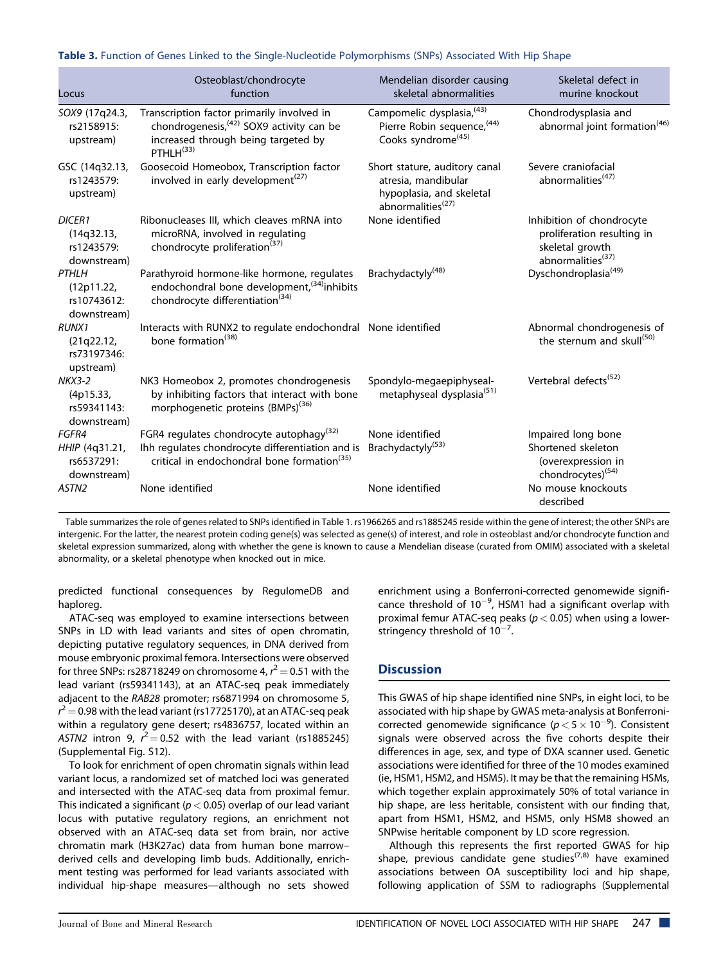| Locus                                                    | Osteoblast/chondrocyte<br>function                                                                                                                                  | Mendelian disorder causing<br>skeletal abnormalities                                                              | Skeletal defect in<br>murine knockout                                                                       |
|----------------------------------------------------------|---------------------------------------------------------------------------------------------------------------------------------------------------------------------|-------------------------------------------------------------------------------------------------------------------|-------------------------------------------------------------------------------------------------------------|
| SOX9 (17q24.3,<br>rs2158915:<br>upstream)                | Transcription factor primarily involved in<br>chondrogenesis, <sup>(42)</sup> SOX9 activity can be<br>increased through being targeted by<br>PTHI $H^{(33)}$        | Campomelic dysplasia, (43)<br>Pierre Robin sequence, (44)<br>Cooks syndrome <sup>(45)</sup>                       | Chondrodysplasia and<br>abnormal joint formation <sup>(46)</sup>                                            |
| GSC (14q32.13,<br>rs1243579:<br>upstream)                | Goosecoid Homeobox, Transcription factor<br>involved in early development <sup>(27)</sup>                                                                           | Short stature, auditory canal<br>atresia, mandibular<br>hypoplasia, and skeletal<br>abnormalities <sup>(27)</sup> | Severe craniofacial<br>abnormalities <sup>(47)</sup>                                                        |
| <b>DICER1</b><br>(14q32.13,<br>rs1243579:<br>downstream) | Ribonucleases III, which cleaves mRNA into<br>microRNA, involved in regulating<br>chondrocyte proliferation <sup>(37)</sup>                                         | None identified                                                                                                   | Inhibition of chondrocyte<br>proliferation resulting in<br>skeletal growth<br>abnormalities <sup>(37)</sup> |
| <b>PTHLH</b><br>(12p11.22,<br>rs10743612:<br>downstream) | Parathyroid hormone-like hormone, regulates<br>endochondral bone development, <sup>(34)</sup> inhibits<br>chondrocyte differentiation <sup>(34)</sup>               | Brachydactyly <sup>(48)</sup>                                                                                     | Dyschondroplasia <sup>(49)</sup>                                                                            |
| <b>RUNX1</b><br>(21q22.12,<br>rs73197346:<br>upstream)   | Interacts with RUNX2 to regulate endochondral None identified<br>bone formation <sup>(38)</sup>                                                                     |                                                                                                                   | Abnormal chondrogenesis of<br>the sternum and skull <sup>(50)</sup>                                         |
| $NKX3-2$<br>(4p15.33,<br>rs59341143:<br>downstream)      | NK3 Homeobox 2, promotes chondrogenesis<br>by inhibiting factors that interact with bone<br>morphogenetic proteins (BMPs) <sup>(36)</sup>                           | Spondylo-megaepiphyseal-<br>metaphyseal dysplasia <sup>(51)</sup>                                                 | Vertebral defects <sup>(52)</sup>                                                                           |
| FGFR4<br>HHIP (4q31.21,<br>rs6537291:<br>downstream)     | FGR4 regulates chondrocyte autophagy <sup>(32)</sup><br>Ihh regulates chondrocyte differentiation and is<br>critical in endochondral bone formation <sup>(35)</sup> | None identified<br>Brachydactyly <sup>(53)</sup>                                                                  | Impaired long bone<br>Shortened skeleton<br>(overexpression in<br>chondrocytes) <sup>(54)</sup>             |
| ASTN <sub>2</sub>                                        | None identified                                                                                                                                                     | None identified                                                                                                   | No mouse knockouts<br>described                                                                             |

Table 3. Function of Genes Linked to the Single-Nucleotide Polymorphisms (SNPs) Associated With Hip Shape

Table summarizes the role of genes related to SNPs identified in Table 1. rs1966265 and rs1885245 reside within the gene of interest; the other SNPs are intergenic. For the latter, the nearest protein coding gene(s) was selected as gene(s) of interest, and role in osteoblast and/or chondrocyte function and skeletal expression summarized, along with whether the gene is known to cause a Mendelian disease (curated from OMIM) associated with a skeletal abnormality, or a skeletal phenotype when knocked out in mice.

predicted functional consequences by RegulomeDB and haploreg.

ATAC-seq was employed to examine intersections between SNPs in LD with lead variants and sites of open chromatin, depicting putative regulatory sequences, in DNA derived from mouse embryonic proximal femora. Intersections were observed for three SNPs: rs28718249 on chromosome 4,  $r^2$   $=$  0.51 with the lead variant (rs59341143), at an ATAC-seq peak immediately adjacent to the RAB28 promoter; rs6871994 on chromosome 5,  $r^2$   $=$  0.98 with the lead variant (rs17725170), at an ATAC-seq peak within a regulatory gene desert; rs4836757, located within an ASTN2 intron 9,  $r^2 = 0.52$  with the lead variant (rs1885245) (Supplemental Fig. S12).

To look for enrichment of open chromatin signals within lead variant locus, a randomized set of matched loci was generated and intersected with the ATAC-seq data from proximal femur. This indicated a significant ( $p < 0.05$ ) overlap of our lead variant locus with putative regulatory regions, an enrichment not observed with an ATAC-seq data set from brain, nor active chromatin mark (H3K27ac) data from human bone marrow– derived cells and developing limb buds. Additionally, enrichment testing was performed for lead variants associated with individual hip-shape measures—although no sets showed

enrichment using a Bonferroni-corrected genomewide significance threshold of  $10^{-9}$ , HSM1 had a significant overlap with proximal femur ATAC-seq peaks ( $p < 0.05$ ) when using a lowerstringency threshold of  $10^{-7}$ .

# **Discussion**

This GWAS of hip shape identified nine SNPs, in eight loci, to be associated with hip shape by GWAS meta-analysis at Bonferronicorrected genomewide significance ( $p < 5 \times 10^{-9}$ ). Consistent signals were observed across the five cohorts despite their differences in age, sex, and type of DXA scanner used. Genetic associations were identified for three of the 10 modes examined (ie, HSM1, HSM2, and HSM5). It may be that the remaining HSMs, which together explain approximately 50% of total variance in hip shape, are less heritable, consistent with our finding that, apart from HSM1, HSM2, and HSM5, only HSM8 showed an SNPwise heritable component by LD score regression.

Although this represents the first reported GWAS for hip shape, previous candidate gene studies<sup> $(7,8)$ </sup> have examined associations between OA susceptibility loci and hip shape, following application of SSM to radiographs (Supplemental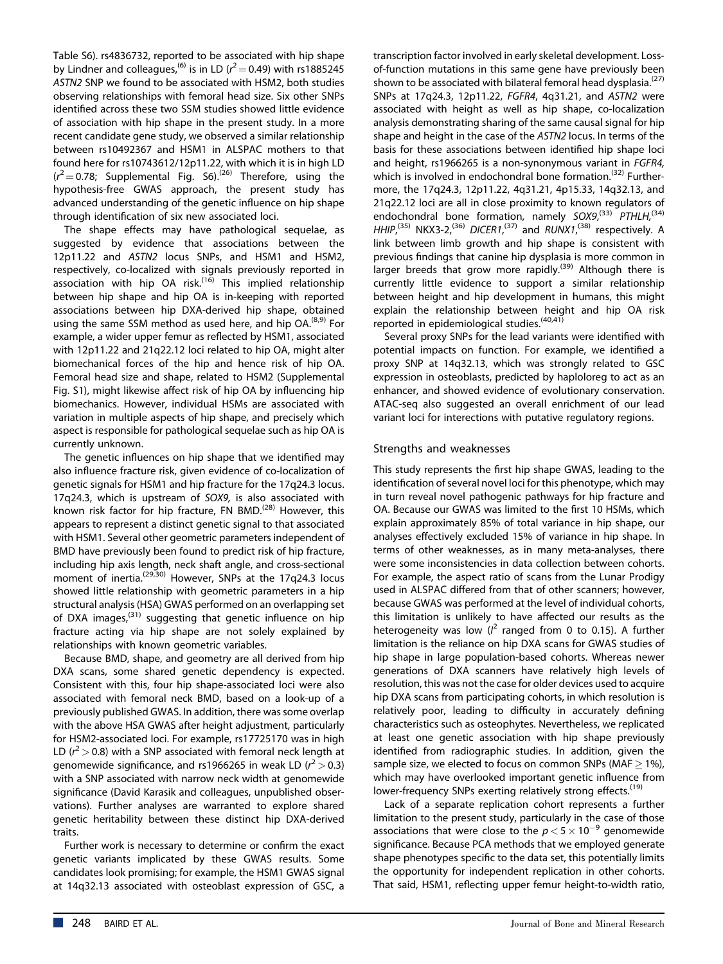Table S6). rs4836732, reported to be associated with hip shape by Lindner and colleagues,<sup>(6)</sup> is in LD ( $r^2$   $=$  0.49) with rs1885245 ASTN2 SNP we found to be associated with HSM2, both studies observing relationships with femoral head size. Six other SNPs identified across these two SSM studies showed little evidence of association with hip shape in the present study. In a more recent candidate gene study, we observed a similar relationship between rs10492367 and HSM1 in ALSPAC mothers to that found here for rs10743612/12p11.22, with which it is in high LD  $(r^2 = 0.78;$  Supplemental Fig. S6).<sup>(26)</sup> Therefore, using the hypothesis-free GWAS approach, the present study has advanced understanding of the genetic influence on hip shape through identification of six new associated loci.

The shape effects may have pathological sequelae, as suggested by evidence that associations between the 12p11.22 and ASTN2 locus SNPs, and HSM1 and HSM2, respectively, co-localized with signals previously reported in association with hip OA risk. $^{(16)}$  This implied relationship between hip shape and hip OA is in-keeping with reported associations between hip DXA-derived hip shape, obtained using the same SSM method as used here, and hip  $OA^{(8,9)}$  For example, a wider upper femur as reflected by HSM1, associated with 12p11.22 and 21q22.12 loci related to hip OA, might alter biomechanical forces of the hip and hence risk of hip OA. Femoral head size and shape, related to HSM2 (Supplemental Fig. S1), might likewise affect risk of hip OA by influencing hip biomechanics. However, individual HSMs are associated with variation in multiple aspects of hip shape, and precisely which aspect is responsible for pathological sequelae such as hip OA is currently unknown.

The genetic influences on hip shape that we identified may also influence fracture risk, given evidence of co-localization of genetic signals for HSM1 and hip fracture for the 17q24.3 locus. 17q24.3, which is upstream of SOX9, is also associated with known risk factor for hip fracture, FN BMD.<sup>(28)</sup> However, this appears to represent a distinct genetic signal to that associated with HSM1. Several other geometric parameters independent of BMD have previously been found to predict risk of hip fracture, including hip axis length, neck shaft angle, and cross-sectional moment of inertia.<sup>(29,30)</sup> However, SNPs at the 17q24.3 locus showed little relationship with geometric parameters in a hip structural analysis (HSA) GWAS performed on an overlapping set of DXA images, $(31)$  suggesting that genetic influence on hip fracture acting via hip shape are not solely explained by relationships with known geometric variables.

Because BMD, shape, and geometry are all derived from hip DXA scans, some shared genetic dependency is expected. Consistent with this, four hip shape-associated loci were also associated with femoral neck BMD, based on a look-up of a previously published GWAS. In addition, there was some overlap with the above HSA GWAS after height adjustment, particularly for HSM2-associated loci. For example, rs17725170 was in high LD ( $r^2$  > 0.8) with a SNP associated with femoral neck length at genomewide significance, and rs1966265 in weak LD ( $r^2$  > 0.3) with a SNP associated with narrow neck width at genomewide significance (David Karasik and colleagues, unpublished observations). Further analyses are warranted to explore shared genetic heritability between these distinct hip DXA-derived traits.

Further work is necessary to determine or confirm the exact genetic variants implicated by these GWAS results. Some candidates look promising; for example, the HSM1 GWAS signal at 14q32.13 associated with osteoblast expression of GSC, a

transcription factor involved in early skeletal development. Lossof-function mutations in this same gene have previously been shown to be associated with bilateral femoral head dysplasia.<sup>(27)</sup> SNPs at 17q24.3, 12p11.22, FGFR4, 4q31.21, and ASTN2 were associated with height as well as hip shape, co-localization analysis demonstrating sharing of the same causal signal for hip shape and height in the case of the ASTN2 locus. In terms of the basis for these associations between identified hip shape loci and height, rs1966265 is a non-synonymous variant in FGFR4, which is involved in endochondral bone formation.<sup>(32)</sup> Furthermore, the 17q24.3, 12p11.22, 4q31.21, 4p15.33, 14q32.13, and 21q22.12 loci are all in close proximity to known regulators of endochondral bone formation, namely SOX9,<sup>(33)</sup> PTHLH,<sup>(34)</sup> HHIP,<sup>(35)</sup> NKX3-2,<sup>(36)</sup> DICER1,<sup>(37)</sup> and RUNX1,<sup>(38)</sup> respectively. A link between limb growth and hip shape is consistent with previous findings that canine hip dysplasia is more common in larger breeds that grow more rapidly.<sup>(39)</sup> Although there is currently little evidence to support a similar relationship between height and hip development in humans, this might explain the relationship between height and hip OA risk reported in epidemiological studies.  $(40,41)$ 

Several proxy SNPs for the lead variants were identified with potential impacts on function. For example, we identified a proxy SNP at 14q32.13, which was strongly related to GSC expression in osteoblasts, predicted by haploloreg to act as an enhancer, and showed evidence of evolutionary conservation. ATAC-seq also suggested an overall enrichment of our lead variant loci for interections with putative regulatory regions.

# Strengths and weaknesses

This study represents the first hip shape GWAS, leading to the identification of several novel loci for this phenotype, which may in turn reveal novel pathogenic pathways for hip fracture and OA. Because our GWAS was limited to the first 10 HSMs, which explain approximately 85% of total variance in hip shape, our analyses effectively excluded 15% of variance in hip shape. In terms of other weaknesses, as in many meta-analyses, there were some inconsistencies in data collection between cohorts. For example, the aspect ratio of scans from the Lunar Prodigy used in ALSPAC differed from that of other scanners; however, because GWAS was performed at the level of individual cohorts, this limitation is unlikely to have affected our results as the heterogeneity was low  $(l^2$  ranged from 0 to 0.15). A further limitation is the reliance on hip DXA scans for GWAS studies of hip shape in large population-based cohorts. Whereas newer generations of DXA scanners have relatively high levels of resolution, this was not the case for older devices used to acquire hip DXA scans from participating cohorts, in which resolution is relatively poor, leading to difficulty in accurately defining characteristics such as osteophytes. Nevertheless, we replicated at least one genetic association with hip shape previously identified from radiographic studies. In addition, given the sample size, we elected to focus on common SNPs (MAF  $\geq$  1%), which may have overlooked important genetic influence from lower-frequency SNPs exerting relatively strong effects.<sup>(19)</sup>

Lack of a separate replication cohort represents a further limitation to the present study, particularly in the case of those associations that were close to the  $p < 5 \times 10^{-9}$  genomewide significance. Because PCA methods that we employed generate shape phenotypes specific to the data set, this potentially limits the opportunity for independent replication in other cohorts. That said, HSM1, reflecting upper femur height-to-width ratio,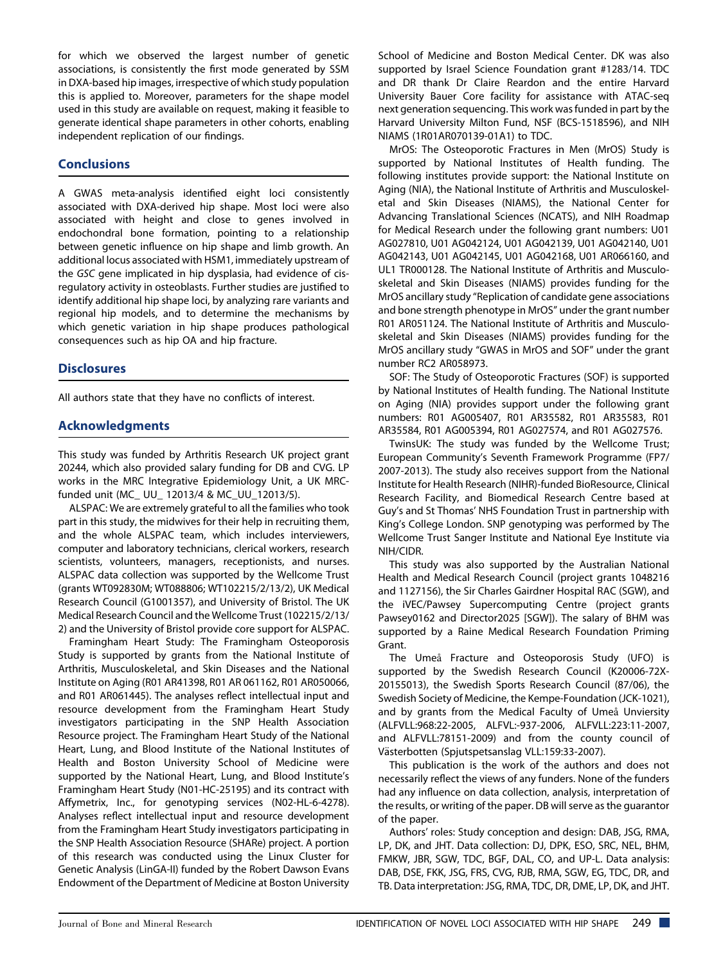for which we observed the largest number of genetic associations, is consistently the first mode generated by SSM in DXA-based hip images, irrespective of which study population this is applied to. Moreover, parameters for the shape model used in this study are available on request, making it feasible to generate identical shape parameters in other cohorts, enabling independent replication of our findings.

# **Conclusions**

A GWAS meta-analysis identified eight loci consistently associated with DXA-derived hip shape. Most loci were also associated with height and close to genes involved in endochondral bone formation, pointing to a relationship between genetic influence on hip shape and limb growth. An additional locus associated with HSM1, immediately upstream of the GSC gene implicated in hip dysplasia, had evidence of cisregulatory activity in osteoblasts. Further studies are justified to identify additional hip shape loci, by analyzing rare variants and regional hip models, and to determine the mechanisms by which genetic variation in hip shape produces pathological consequences such as hip OA and hip fracture.

# **Disclosures**

All authors state that they have no conflicts of interest.

# Acknowledgments

This study was funded by Arthritis Research UK project grant 20244, which also provided salary funding for DB and CVG. LP works in the MRC Integrative Epidemiology Unit, a UK MRCfunded unit (MC\_ UU\_ 12013/4 & MC\_UU\_12013/5).

ALSPAC: We are extremely grateful to all the families who took part in this study, the midwives for their help in recruiting them, and the whole ALSPAC team, which includes interviewers, computer and laboratory technicians, clerical workers, research scientists, volunteers, managers, receptionists, and nurses. ALSPAC data collection was supported by the Wellcome Trust (grants WT092830M; WT088806; WT102215/2/13/2), UK Medical Research Council (G1001357), and University of Bristol. The UK Medical Research Council and the Wellcome Trust (102215/2/13/ 2) and the University of Bristol provide core support for ALSPAC.

Framingham Heart Study: The Framingham Osteoporosis Study is supported by grants from the National Institute of Arthritis, Musculoskeletal, and Skin Diseases and the National Institute on Aging (R01 AR41398, R01 AR 061162, R01 AR050066, and R01 AR061445). The analyses reflect intellectual input and resource development from the Framingham Heart Study investigators participating in the SNP Health Association Resource project. The Framingham Heart Study of the National Heart, Lung, and Blood Institute of the National Institutes of Health and Boston University School of Medicine were supported by the National Heart, Lung, and Blood Institute's Framingham Heart Study (N01-HC-25195) and its contract with Affymetrix, Inc., for genotyping services (N02-HL-6-4278). Analyses reflect intellectual input and resource development from the Framingham Heart Study investigators participating in the SNP Health Association Resource (SHARe) project. A portion of this research was conducted using the Linux Cluster for Genetic Analysis (LinGA-II) funded by the Robert Dawson Evans Endowment of the Department of Medicine at Boston University

School of Medicine and Boston Medical Center. DK was also supported by Israel Science Foundation grant #1283/14. TDC and DR thank Dr Claire Reardon and the entire Harvard University Bauer Core facility for assistance with ATAC-seq next generation sequencing. This work was funded in part by the Harvard University Milton Fund, NSF (BCS-1518596), and NIH NIAMS (1R01AR070139-01A1) to TDC.

MrOS: The Osteoporotic Fractures in Men (MrOS) Study is supported by National Institutes of Health funding. The following institutes provide support: the National Institute on Aging (NIA), the National Institute of Arthritis and Musculoskeletal and Skin Diseases (NIAMS), the National Center for Advancing Translational Sciences (NCATS), and NIH Roadmap for Medical Research under the following grant numbers: U01 AG027810, U01 AG042124, U01 AG042139, U01 AG042140, U01 AG042143, U01 AG042145, U01 AG042168, U01 AR066160, and UL1 TR000128. The National Institute of Arthritis and Musculoskeletal and Skin Diseases (NIAMS) provides funding for the MrOS ancillary study "Replication of candidate gene associations and bone strength phenotype in MrOS" under the grant number R01 AR051124. The National Institute of Arthritis and Musculoskeletal and Skin Diseases (NIAMS) provides funding for the MrOS ancillary study "GWAS in MrOS and SOF" under the grant number RC2 AR058973.

SOF: The Study of Osteoporotic Fractures (SOF) is supported by National Institutes of Health funding. The National Institute on Aging (NIA) provides support under the following grant numbers: R01 AG005407, R01 AR35582, R01 AR35583, R01 AR35584, R01 AG005394, R01 AG027574, and R01 AG027576.

TwinsUK: The study was funded by the Wellcome Trust; European Community's Seventh Framework Programme (FP7/ 2007-2013). The study also receives support from the National Institute for Health Research (NIHR)-funded BioResource, Clinical Research Facility, and Biomedical Research Centre based at Guy's and St Thomas' NHS Foundation Trust in partnership with King's College London. SNP genotyping was performed by The Wellcome Trust Sanger Institute and National Eye Institute via NIH/CIDR.

This study was also supported by the Australian National Health and Medical Research Council (project grants 1048216 and 1127156), the Sir Charles Gairdner Hospital RAC (SGW), and the iVEC/Pawsey Supercomputing Centre (project grants Pawsey0162 and Director2025 [SGW]). The salary of BHM was supported by a Raine Medical Research Foundation Priming Grant.

The Umeå Fracture and Osteoporosis Study (UFO) is supported by the Swedish Research Council (K20006-72X-20155013), the Swedish Sports Research Council (87/06), the Swedish Society of Medicine, the Kempe-Foundation (JCK-1021), and by grants from the Medical Faculty of Umeå Unviersity (ALFVLL:968:22-2005, ALFVL:-937-2006, ALFVLL:223:11-2007, and ALFVLL:78151-2009) and from the county council of Västerbotten (Spiutspetsanslag VLL:159:33-2007).

This publication is the work of the authors and does not necessarily reflect the views of any funders. None of the funders had any influence on data collection, analysis, interpretation of the results, or writing of the paper. DB will serve as the guarantor of the paper.

Authors' roles: Study conception and design: DAB, JSG, RMA, LP, DK, and JHT. Data collection: DJ, DPK, ESO, SRC, NEL, BHM, FMKW, JBR, SGW, TDC, BGF, DAL, CO, and UP-L. Data analysis: DAB, DSE, FKK, JSG, FRS, CVG, RJB, RMA, SGW, EG, TDC, DR, and TB. Data interpretation: JSG, RMA, TDC, DR, DME, LP, DK, and JHT.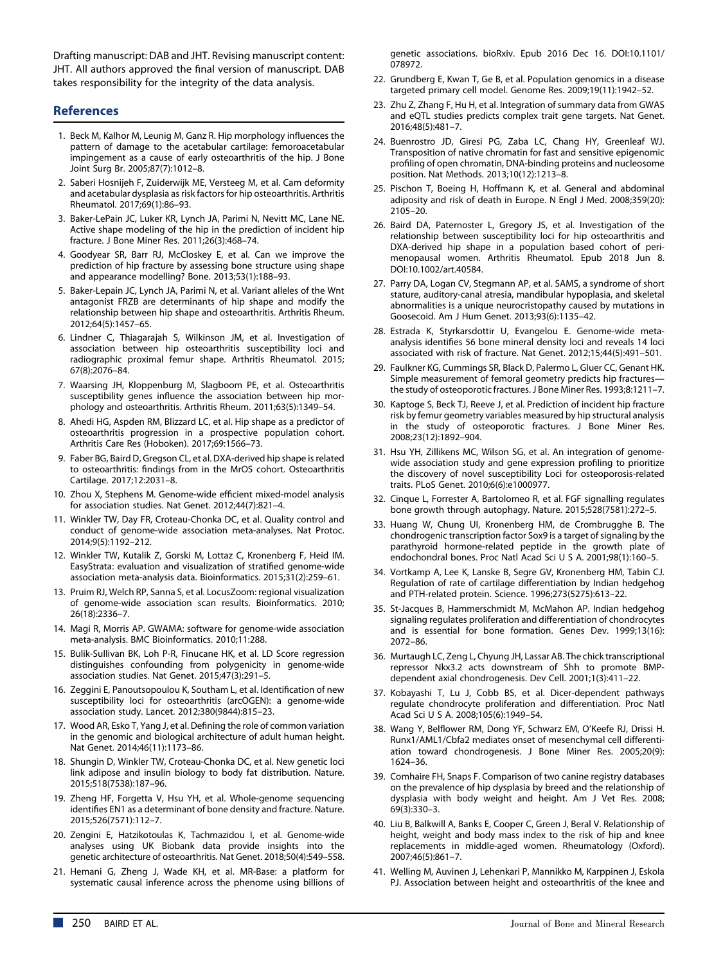Drafting manuscript: DAB and JHT. Revising manuscript content: JHT. All authors approved the final version of manuscript. DAB takes responsibility for the integrity of the data analysis.

# **References**

- 1. Beck M, Kalhor M, Leunig M, Ganz R. Hip morphology influences the pattern of damage to the acetabular cartilage: femoroacetabular impingement as a cause of early osteoarthritis of the hip. J Bone Joint Surg Br. 2005;87(7):1012–8.
- 2. Saberi Hosnijeh F, Zuiderwijk ME, Versteeg M, et al. Cam deformity and acetabular dysplasia as risk factors for hip osteoarthritis. Arthritis Rheumatol. 2017;69(1):86–93.
- 3. Baker-LePain JC, Luker KR, Lynch JA, Parimi N, Nevitt MC, Lane NE. Active shape modeling of the hip in the prediction of incident hip fracture. J Bone Miner Res. 2011;26(3):468–74.
- 4. Goodyear SR, Barr RJ, McCloskey E, et al. Can we improve the prediction of hip fracture by assessing bone structure using shape and appearance modelling? Bone. 2013;53(1):188–93.
- 5. Baker-Lepain JC, Lynch JA, Parimi N, et al. Variant alleles of the Wnt antagonist FRZB are determinants of hip shape and modify the relationship between hip shape and osteoarthritis. Arthritis Rheum. 2012;64(5):1457–65.
- 6. Lindner C, Thiagarajah S, Wilkinson JM, et al. Investigation of association between hip osteoarthritis susceptibility loci and radiographic proximal femur shape. Arthritis Rheumatol. 2015; 67(8):2076–84.
- 7. Waarsing JH, Kloppenburg M, Slagboom PE, et al. Osteoarthritis susceptibility genes influence the association between hip morphology and osteoarthritis. Arthritis Rheum. 2011;63(5):1349–54.
- 8. Ahedi HG, Aspden RM, Blizzard LC, et al. Hip shape as a predictor of osteoarthritis progression in a prospective population cohort. Arthritis Care Res (Hoboken). 2017;69:1566–73.
- 9. Faber BG, Baird D, Gregson CL, et al. DXA-derived hip shape is related to osteoarthritis: findings from in the MrOS cohort. Osteoarthritis Cartilage. 2017;12:2031–8.
- 10. Zhou X, Stephens M. Genome-wide efficient mixed-model analysis for association studies. Nat Genet. 2012;44(7):821–4.
- 11. Winkler TW, Day FR, Croteau-Chonka DC, et al. Quality control and conduct of genome-wide association meta-analyses. Nat Protoc. 2014;9(5):1192–212.
- 12. Winkler TW, Kutalik Z, Gorski M, Lottaz C, Kronenberg F, Heid IM. EasyStrata: evaluation and visualization of stratified genome-wide association meta-analysis data. Bioinformatics. 2015;31(2):259–61.
- 13. Pruim RJ, Welch RP, Sanna S, et al. LocusZoom: regional visualization of genome-wide association scan results. Bioinformatics. 2010; 26(18):2336–7.
- 14. Magi R, Morris AP. GWAMA: software for genome-wide association meta-analysis. BMC Bioinformatics. 2010;11:288.
- 15. Bulik-Sullivan BK, Loh P-R, Finucane HK, et al. LD Score regression distinguishes confounding from polygenicity in genome-wide association studies. Nat Genet. 2015;47(3):291–5.
- 16. Zeggini E, Panoutsopoulou K, Southam L, et al. Identification of new susceptibility loci for osteoarthritis (arcOGEN): a genome-wide association study. Lancet. 2012;380(9844):815–23.
- 17. Wood AR, Esko T, Yang J, et al. Defining the role of common variation in the genomic and biological architecture of adult human height. Nat Genet. 2014;46(11):1173–86.
- 18. Shungin D, Winkler TW, Croteau-Chonka DC, et al. New genetic loci link adipose and insulin biology to body fat distribution. Nature. 2015;518(7538):187–96.
- 19. Zheng HF, Forgetta V, Hsu YH, et al. Whole-genome sequencing identifies EN1 as a determinant of bone density and fracture. Nature. 2015;526(7571):112–7.
- 20. Zengini E, Hatzikotoulas K, Tachmazidou I, et al. Genome-wide analyses using UK Biobank data provide insights into the genetic architecture of osteoarthritis. Nat Genet. 2018;50(4):549–558.
- 21. Hemani G, Zheng J, Wade KH, et al. MR-Base: a platform for systematic causal inference across the phenome using billions of

genetic associations. bioRxiv. Epub 2016 Dec 16. DOI:10.1101/ 078972.

- 22. Grundberg E, Kwan T, Ge B, et al. Population genomics in a disease targeted primary cell model. Genome Res. 2009;19(11):1942–52.
- 23. Zhu Z, Zhang F, Hu H, et al. Integration of summary data from GWAS and eQTL studies predicts complex trait gene targets. Nat Genet. 2016;48(5):481–7.
- 24. Buenrostro JD, Giresi PG, Zaba LC, Chang HY, Greenleaf WJ. Transposition of native chromatin for fast and sensitive epigenomic profiling of open chromatin, DNA-binding proteins and nucleosome position. Nat Methods. 2013;10(12):1213–8.
- 25. Pischon T, Boeing H, Hoffmann K, et al. General and abdominal adiposity and risk of death in Europe. N Engl J Med. 2008;359(20): 2105–20.
- 26. Baird DA, Paternoster L, Gregory JS, et al. Investigation of the relationship between susceptibility loci for hip osteoarthritis and DXA-derived hip shape in a population based cohort of perimenopausal women. Arthritis Rheumatol. Epub 2018 Jun 8. DOI:10.1002/art.40584.
- 27. Parry DA, Logan CV, Stegmann AP, et al. SAMS, a syndrome of short stature, auditory-canal atresia, mandibular hypoplasia, and skeletal abnormalities is a unique neurocristopathy caused by mutations in Goosecoid. Am J Hum Genet. 2013;93(6):1135–42.
- 28. Estrada K, Styrkarsdottir U, Evangelou E. Genome-wide metaanalysis identifies 56 bone mineral density loci and reveals 14 loci associated with risk of fracture. Nat Genet. 2012;15;44(5):491–501.
- 29. Faulkner KG, Cummings SR, Black D, Palermo L, Gluer CC, Genant HK. Simple measurement of femoral geometry predicts hip fractures the study of osteoporotic fractures. J Bone Miner Res. 1993;8:1211–7.
- 30. Kaptoge S, Beck TJ, Reeve J, et al. Prediction of incident hip fracture risk by femur geometry variables measured by hip structural analysis in the study of osteoporotic fractures. J Bone Miner Res. 2008;23(12):1892–904.
- 31. Hsu YH, Zillikens MC, Wilson SG, et al. An integration of genomewide association study and gene expression profiling to prioritize the discovery of novel susceptibility Loci for osteoporosis-related traits. PLoS Genet. 2010;6(6):e1000977.
- 32. Cinque L, Forrester A, Bartolomeo R, et al. FGF signalling regulates bone growth through autophagy. Nature. 2015;528(7581):272–5.
- 33. Huang W, Chung UI, Kronenberg HM, de Crombrugghe B. The chondrogenic transcription factor Sox9 is a target of signaling by the parathyroid hormone-related peptide in the growth plate of endochondral bones. Proc Natl Acad Sci U S A. 2001;98(1):160–5.
- 34. Vortkamp A, Lee K, Lanske B, Segre GV, Kronenberg HM, Tabin CJ. Regulation of rate of cartilage differentiation by Indian hedgehog and PTH-related protein. Science. 1996;273(5275):613–22.
- 35. St-Jacques B, Hammerschmidt M, McMahon AP. Indian hedgehog signaling regulates proliferation and differentiation of chondrocytes and is essential for bone formation. Genes Dev. 1999;13(16): 2072–86.
- 36. Murtaugh LC, Zeng L, Chyung JH, Lassar AB. The chick transcriptional repressor Nkx3.2 acts downstream of Shh to promote BMPdependent axial chondrogenesis. Dev Cell. 2001;1(3):411–22.
- 37. Kobayashi T, Lu J, Cobb BS, et al. Dicer-dependent pathways regulate chondrocyte proliferation and differentiation. Proc Natl Acad Sci U S A. 2008;105(6):1949–54.
- 38. Wang Y, Belflower RM, Dong YF, Schwarz EM, O'Keefe RJ, Drissi H. Runx1/AML1/Cbfa2 mediates onset of mesenchymal cell differentiation toward chondrogenesis. J Bone Miner Res. 2005;20(9): 1624–36.
- 39. Comhaire FH, Snaps F. Comparison of two canine registry databases on the prevalence of hip dysplasia by breed and the relationship of dysplasia with body weight and height. Am J Vet Res. 2008; 69(3):330–3.
- 40. Liu B, Balkwill A, Banks E, Cooper C, Green J, Beral V. Relationship of height, weight and body mass index to the risk of hip and knee replacements in middle-aged women. Rheumatology (Oxford). 2007;46(5):861–7.
- 41. Welling M, Auvinen J, Lehenkari P, Mannikko M, Karppinen J, Eskola PJ. Association between height and osteoarthritis of the knee and